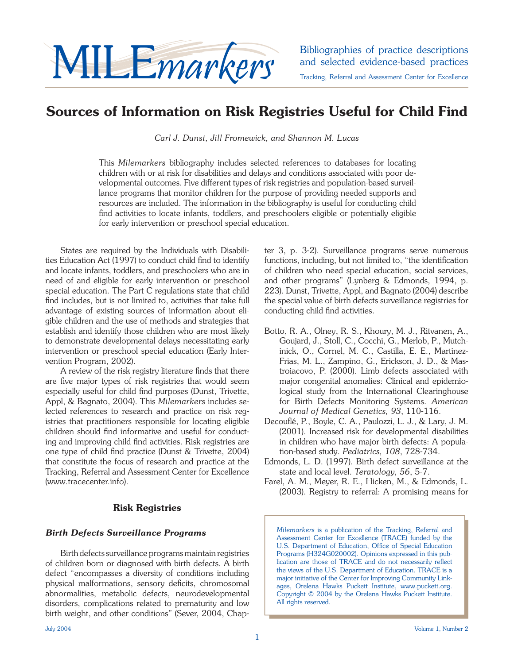# Bibliographies of practice descriptions<br>and selected evidence-based practices<br>Tracking, Referral and Assessment Center for Excellence

## **Sources of Information on Risk Registries Useful for Child Find**

*Carl J. Dunst, Jill Fromewick, and Shannon M. Lucas*

This *Milemarkers* bibliography includes selected references to databases for locating children with or at risk for disabilities and delays and conditions associated with poor developmental outcomes. Five different types of risk registries and population-based surveillance programs that monitor children for the purpose of providing needed supports and resources are included. The information in the bibliography is useful for conducting child find activities to locate infants, toddlers, and preschoolers eligible or potentially eligible for early intervention or preschool special education.

States are required by the Individuals with Disabilities Education Act (1997) to conduct child find to identify and locate infants, toddlers, and preschoolers who are in need of and eligible for early intervention or preschool special education. The Part C regulations state that child find includes, but is not limited to, activities that take full advantage of existing sources of information about eligible children and the use of methods and strategies that establish and identify those children who are most likely to demonstrate developmental delays necessitating early intervention or preschool special education (Early Intervention Program, 2002).

A review of the risk registry literature finds that there are five major types of risk registries that would seem especially useful for child find purposes (Dunst, Trivette, Appl, & Bagnato, 2004). This *Milemarkers* includes selected references to research and practice on risk registries that practitioners responsible for locating eligible children should find informative and useful for conducting and improving child find activities. Risk registries are one type of child find practice (Dunst & Trivette, 2004) that constitute the focus of research and practice at the Tracking, Referral and Assessment Center for Excellence (www.tracecenter.info).

## **Risk Registries**

## *Birth Defects Surveillance Programs*

 Birth defects surveillance programs maintain registries of children born or diagnosed with birth defects. A birth defect "encompasses a diversity of conditions including physical malformations, sensory deficits, chromosomal abnormalities, metabolic defects, neurodevelopmental disorders, complications related to prematurity and low birth weight, and other conditions" (Sever, 2004, Chapter 3, p. 3-2). Surveillance programs serve numerous functions, including, but not limited to, "the identification of children who need special education, social services, and other programs" (Lynberg & Edmonds, 1994, p. 223). Dunst, Trivette, Appl, and Bagnato (2004) describe the special value of birth defects surveillance registries for conducting child find activities.

- Botto, R. A., Olney, R. S., Khoury, M. J., Ritvanen, A., Goujard, J., Stoll, C., Cocchi, G., Merlob, P., Mutchinick, O., Cornel, M. C., Castilla, E. E., Martinez-Frias, M. L., Zampino, G., Erickson, J. D., & Mastroiacovo, P. (2000). Limb defects associated with major congenital anomalies: Clinical and epidemiological study from the International Clearinghouse for Birth Defects Monitoring Systems. *American Journal of Medical Genetics, 93*, 110-116.
- Decouflé, P., Boyle, C. A., Paulozzi, L. J., & Lary, J. M. (2001). Increased risk for developmental disabilities in children who have major birth defects: A population-based study. *Pediatrics, 108*, 728-734.
- Edmonds, L. D. (1997). Birth defect surveillance at the state and local level. *Teratology, 56*, 5-7.
- Farel, A. M., Meyer, R. E., Hicken, M., & Edmonds, L. (2003). Registry to referral: A promising means for

*Milemarkers* is a publication of the Tracking, Referral and Assessment Center for Excellence (TRACE) funded by the U.S. Department of Education, Office of Special Education Programs (H324G020002). Opinions expressed in this publication are those of TRACE and do not necessarily reflect the views of the U.S. Department of Education. TRACE is a major initiative of the Center for Improving Community Linkages, Orelena Hawks Puckett Institute, www.puckett.org. Copyright © 2004 by the Orelena Hawks Puckett Institute. All rights reserved.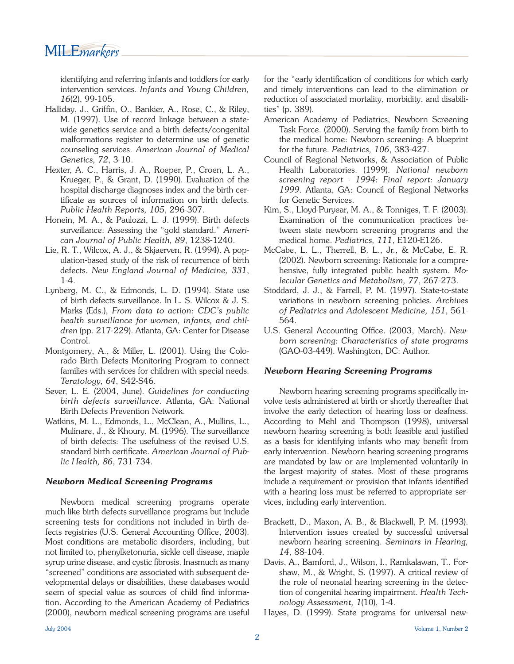## MILE*markers*

identifying and referring infants and toddlers for early intervention services. *Infants and Young Children, 16*(2), 99-105.

- Halliday, J., Griffin, O., Bankier, A., Rose, C., & Riley, M. (1997). Use of record linkage between a statewide genetics service and a birth defects/congenital malformations register to determine use of genetic counseling services. *American Journal of Medical Genetics, 72*, 3-10.
- Hexter, A. C., Harris, J. A., Roeper, P., Croen, L. A., Krueger, P., & Grant, D. (1990). Evaluation of the hospital discharge diagnoses index and the birth certificate as sources of information on birth defects. *Public Health Reports, 105*, 296-307.
- Honein, M. A., & Paulozzi, L. J. (1999). Birth defects surveillance: Assessing the "gold standard." *American Journal of Public Health, 89*, 1238-1240.
- Lie, R. T., Wilcox, A. J., & Skjaerven, R. (1994). A population-based study of the risk of recurrence of birth defects. *New England Journal of Medicine, 331*, 1-4.
- Lynberg, M. C., & Edmonds, L. D. (1994). State use of birth defects surveillance. In L. S. Wilcox & J. S. Marks (Eds.), *From data to action: CDC's public health surveillance for women, infants, and children* (pp. 217-229). Atlanta, GA: Center for Disease Control.
- Montgomery, A., & Miller, L. (2001). Using the Colorado Birth Defects Monitoring Program to connect families with services for children with special needs. *Teratology, 64*, S42-S46.
- Sever, L. E. (2004, June). *Guidelines for conducting birth defects surveillance*. Atlanta, GA: National Birth Defects Prevention Network.
- Watkins, M. L., Edmonds, L., McClean, A., Mullins, L., Mulinare, J., & Khoury, M. (1996). The surveillance of birth defects: The usefulness of the revised U.S. standard birth certificate. American Journal of Pub*lic Health, 86*, 731-734.

## *Newborn Medical Screening Programs*

 Newborn medical screening programs operate much like birth defects surveillance programs but include screening tests for conditions not included in birth defects registries (U.S. General Accounting Office, 2003). Most conditions are metabolic disorders, including, but not limited to, phenylketonuria, sickle cell disease, maple syrup urine disease, and cystic fibrosis. Inasmuch as many "screened" conditions are associated with subsequent developmental delays or disabilities, these databases would seem of special value as sources of child find information. According to the American Academy of Pediatrics (2000), newborn medical screening programs are useful for the "early identification of conditions for which early and timely interventions can lead to the elimination or reduction of associated mortality, morbidity, and disabilities" (p. 389).

- American Academy of Pediatrics, Newborn Screening Task Force. (2000). Serving the family from birth to the medical home: Newborn screening: A blueprint for the future. *Pediatrics, 106*, 383-427.
- Council of Regional Networks, & Association of Public Health Laboratories. (1999). *National newborn screening report - 1994: Final report: January 1999*. Atlanta, GA: Council of Regional Networks for Genetic Services.
- Kim, S., Lloyd-Puryear, M. A., & Tonniges, T. F. (2003). Examination of the communication practices between state newborn screening programs and the medical home. *Pediatrics, 111*, E120-E126.
- McCabe, L. L., Therrell, B. L., Jr., & McCabe, E. R. (2002). Newborn screening: Rationale for a comprehensive, fully integrated public health system. *Molecular Genetics and Metabolism, 77*, 267-273.
- Stoddard, J. J., & Farrell, P. M. (1997). State-to-state variations in newborn screening policies. *Archives of Pediatrics and Adolescent Medicine, 151*, 561- 564.
- U.S. General Accounting Office. (2003, March). New*born screening: Characteristics of state programs*  (GAO-03-449). Washington, DC: Author.

## *Newborn Hearing Screening Programs*

Newborn hearing screening programs specifically involve tests administered at birth or shortly thereafter that involve the early detection of hearing loss or deafness. According to Mehl and Thompson (1998), universal newborn hearing screening is both feasible and justified as a basis for identifying infants who may benefit from early intervention. Newborn hearing screening programs are mandated by law or are implemented voluntarily in the largest majority of states. Most of these programs include a requirement or provision that infants identified with a hearing loss must be referred to appropriate services, including early intervention.

- Brackett, D., Maxon, A. B., & Blackwell, P. M. (1993). Intervention issues created by successful universal newborn hearing screening. *Seminars in Hearing, 14*, 88-104.
- Davis, A., Bamford, J., Wilson, I., Ramkalawan, T., Forshaw, M., & Wright, S. (1997). A critical review of the role of neonatal hearing screening in the detection of congenital hearing impairment. *Health Technology Assessment, 1*(10), 1-4.
- Hayes, D. (1999). State programs for universal new-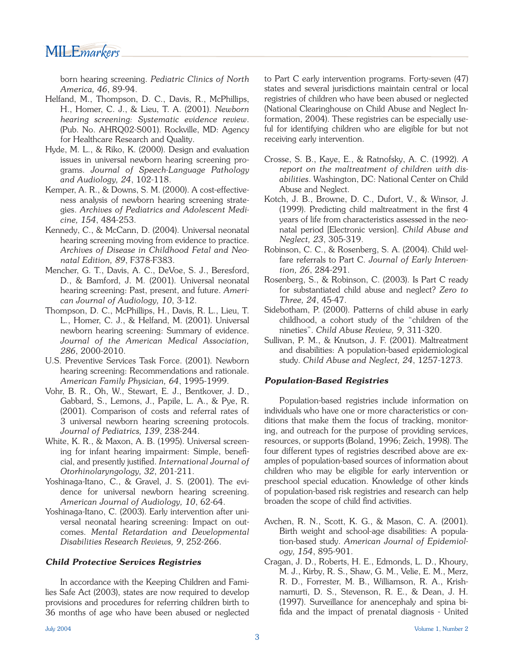## MILE*markers*

born hearing screening. *Pediatric Clinics of North America, 46*, 89-94.

- Helfand, M., Thompson, D. C., Davis, R., McPhillips, H., Homer, C. J., & Lieu, T. A. (2001). *Newborn hearing screening: Systematic evidence review*. (Pub. No. AHRQ02-S001). Rockville, MD: Agency for Healthcare Research and Quality.
- Hyde, M. L., & Riko, K. (2000). Design and evaluation issues in universal newborn hearing screening programs. *Journal of Speech-Language Pathology and Audiology, 24*, 102-118.
- Kemper, A. R., & Downs, S. M. (2000). A cost-effectiveness analysis of newborn hearing screening strategies. *Archives of Pediatrics and Adolescent Medicine, 154*, 484-253.
- Kennedy, C., & McCann, D. (2004). Universal neonatal hearing screening moving from evidence to practice. *Archives of Disease in Childhood Fetal and Neonatal Edition, 89*, F378-F383.
- Mencher, G. T., Davis, A. C., DeVoe, S. J., Beresford, D., & Bamford, J. M. (2001). Universal neonatal hearing screening: Past, present, and future. *American Journal of Audiology, 10*, 3-12.
- Thompson, D. C., McPhillips, H., Davis, R. L., Lieu, T. L., Homer, C. J., & Helfand, M. (2001). Universal newborn hearing screening: Summary of evidence. *Journal of the American Medical Association, 286*, 2000-2010.
- U.S. Preventive Services Task Force. (2001). Newborn hearing screening: Recommendations and rationale. *American Family Physician, 64*, 1995-1999.
- Vohr, B. R., Oh, W., Stewart, E. J., Bentkover, J. D., Gabbard, S., Lemons, J., Papile, L. A., & Pye, R. (2001). Comparison of costs and referral rates of 3 universal newborn hearing screening protocols. *Journal of Pediatrics, 139*, 238-244.
- White, K. R., & Maxon, A. B. (1995). Universal screening for infant hearing impairment: Simple, beneficial, and presently justified. *International Journal of Otorhinolaryngology, 32*, 201-211.
- Yoshinaga-Itano, C., & Gravel, J. S. (2001). The evidence for universal newborn hearing screening. *American Journal of Audiology, 10*, 62-64.
- Yoshinaga-Itano, C. (2003). Early intervention after universal neonatal hearing screening: Impact on outcomes. *Mental Retardation and Developmental Disabilities Research Reviews, 9*, 252-266.

## *Child Protective Services Registries*

 In accordance with the Keeping Children and Families Safe Act (2003), states are now required to develop provisions and procedures for referring children birth to 36 months of age who have been abused or neglected to Part C early intervention programs. Forty-seven (47) states and several jurisdictions maintain central or local registries of children who have been abused or neglected (National Clearinghouse on Child Abuse and Neglect Information, 2004). These registries can be especially useful for identifying children who are eligible for but not receiving early intervention.

- Crosse, S. B., Kaye, E., & Ratnofsky, A. C. (1992). *A report on the maltreatment of children with disabilities*. Washington, DC: National Center on Child Abuse and Neglect.
- Kotch, J. B., Browne, D. C., Dufort, V., & Winsor, J.  $(1999)$ . Predicting child maltreatment in the first 4 years of life from characteristics assessed in the neonatal period [Electronic version]. *Child Abuse and Neglect, 23*, 305-319.
- Robinson, C. C., & Rosenberg, S. A. (2004). Child welfare referrals to Part C. *Journal of Early Intervention, 26*, 284-291.
- Rosenberg, S., & Robinson, C. (2003). Is Part C ready for substantiated child abuse and neglect? *Zero to Three, 24*, 45-47.
- Sidebotham, P. (2000). Patterns of child abuse in early childhood, a cohort study of the "children of the nineties". *Child Abuse Review, 9*, 311-320.
- Sullivan, P. M., & Knutson, J. F. (2001). Maltreatment and disabilities: A population-based epidemiological study. *Child Abuse and Neglect, 24*, 1257-1273.

## *Population-Based Registries*

 Population-based registries include information on individuals who have one or more characteristics or conditions that make them the focus of tracking, monitoring, and outreach for the purpose of providing services, resources, or supports (Boland, 1996; Zeich, 1998). The four different types of registries described above are examples of population-based sources of information about children who may be eligible for early intervention or preschool special education. Knowledge of other kinds of population-based risk registries and research can help broaden the scope of child find activities.

- Avchen, R. N., Scott, K. G., & Mason, C. A. (2001). Birth weight and school-age disabilities: A population-based study. *American Journal of Epidemiology, 154*, 895-901.
- Cragan, J. D., Roberts, H. E., Edmonds, L. D., Khoury, M. J., Kirby, R. S., Shaw, G. M., Velie, E. M., Merz, R. D., Forrester, M. B., Williamson, R. A., Krishnamurti, D. S., Stevenson, R. E., & Dean, J. H. (1997). Surveillance for anencephaly and spina bifida and the impact of prenatal diagnosis - United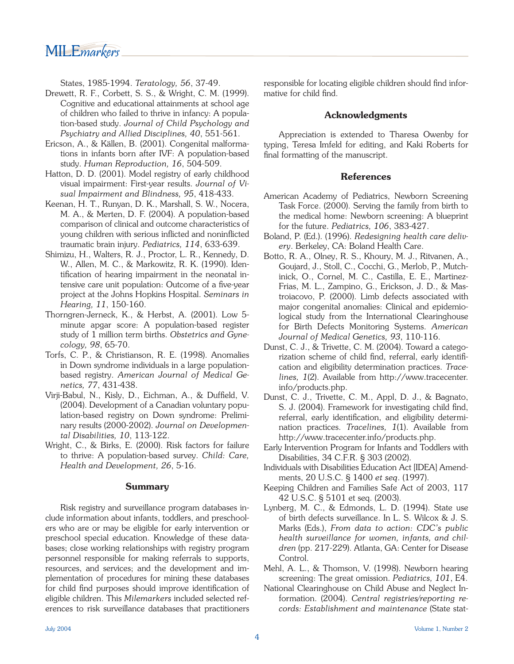MILE*markers* 

States, 1985-1994. *Teratology, 56*, 37-49.

- Drewett, R. F., Corbett, S. S., & Wright, C. M. (1999). Cognitive and educational attainments at school age of children who failed to thrive in infancy: A population-based study. *Journal of Child Psychology and Psychiatry and Allied Disciplines, 40*, 551-561.
- Ericson, A., & Källen, B. (2001). Congenital malformations in infants born after IVF: A population-based study. *Human Reproduction, 16*, 504-509.
- Hatton, D. D. (2001). Model registry of early childhood visual impairment: First-year results. *Journal of Visual Impairment and Blindness, 95*, 418-433.
- Keenan, H. T., Runyan, D. K., Marshall, S. W., Nocera, M. A., & Merten, D. F. (2004). A population-based comparison of clinical and outcome characteristics of young children with serious inflicted and noninflicted traumatic brain injury. *Pediatrics, 114*, 633-639.
- Shimizu, H., Walters, R. J., Proctor, L. R., Kennedy, D. W., Allen, M. C., & Markowitz, R. K. (1990). Identification of hearing impairment in the neonatal intensive care unit population: Outcome of a five-year project at the Johns Hopkins Hospital. *Seminars in Hearing, 11*, 150-160.
- Thorngren-Jerneck, K., & Herbst, A. (2001). Low 5 minute apgar score: A population-based register study of 1 million term births. *Obstetrics and Gynecology, 98*, 65-70.
- Torfs, C. P., & Christianson, R. E. (1998). Anomalies in Down syndrome individuals in a large populationbased registry. *American Journal of Medical Genetics, 77*, 431-438.
- Virji-Babul, N., Kisly, D., Eichman, A., & Duffield, V. (2004). Development of a Canadian voluntary population-based registry on Down syndrome: Preliminary results (2000-2002). *Journal on Developmental Disabilities, 10*, 113-122.
- Wright, C., & Birks, E. (2000). Risk factors for failure to thrive: A population-based survey. *Child: Care, Health and Development, 26*, 5-16.

## **Summary**

Risk registry and surveillance program databases include information about infants, toddlers, and preschoolers who are or may be eligible for early intervention or preschool special education. Knowledge of these databases; close working relationships with registry program personnel responsible for making referrals to supports, resources, and services; and the development and implementation of procedures for mining these databases for child find purposes should improve identification of eligible children. This *Milemarkers* included selected references to risk surveillance databases that practitioners responsible for locating eligible children should find informative for child find.

#### **Acknowledgments**

 Appreciation is extended to Tharesa Owenby for typing, Teresa Imfeld for editing, and Kaki Roberts for final formatting of the manuscript.

#### **References**

- American Academy of Pediatrics, Newborn Screening Task Force. (2000). Serving the family from birth to the medical home: Newborn screening: A blueprint for the future. *Pediatrics, 106*, 383-427.
- Boland, P. (Ed.). (1996). *Redesigning health care delivery*. Berkeley, CA: Boland Health Care.
- Botto, R. A., Olney, R. S., Khoury, M. J., Ritvanen, A., Goujard, J., Stoll, C., Cocchi, G., Merlob, P., Mutchinick, O., Cornel, M. C., Castilla, E. E., Martinez-Frias, M. L., Zampino, G., Erickson, J. D., & Mastroiacovo, P. (2000). Limb defects associated with major congenital anomalies: Clinical and epidemiological study from the International Clearinghouse for Birth Defects Monitoring Systems. *American Journal of Medical Genetics, 93*, 110-116.
- Dunst, C. J., & Trivette, C. M. (2004). Toward a categorization scheme of child find, referral, early identification and eligibility determination practices. *Tracelines, 1*(2). Available from http://www.tracecenter. info/products.php.
- Dunst, C. J., Trivette, C. M., Appl, D. J., & Bagnato, S. J. (2004). Framework for investigating child find, referral, early identification, and eligibility determination practices. *Tracelines, 1*(1). Available from http://www.tracecenter.info/products.php.
- Early Intervention Program for Infants and Toddlers with Disabilities, 34 C.F.R. § 303 (2002).
- Individuals with Disabilities Education Act [IDEA] Amendments, 20 U.S.C. § 1400 *et seq*. (1997).
- Keeping Children and Families Safe Act of 2003, 117 42 U.S.C. § 5101 et seq. (2003).
- Lynberg, M. C., & Edmonds, L. D. (1994). State use of birth defects surveillance. In L. S. Wilcox & J. S. Marks (Eds.), *From data to action: CDC's public health surveillance for women, infants, and children* (pp. 217-229). Atlanta, GA: Center for Disease Control.
- Mehl, A. L., & Thomson, V. (1998). Newborn hearing screening: The great omission. *Pediatrics, 101*, E4.
- National Clearinghouse on Child Abuse and Neglect Information. (2004). *Central registries/reporting records: Establishment and maintenance* (State stat-